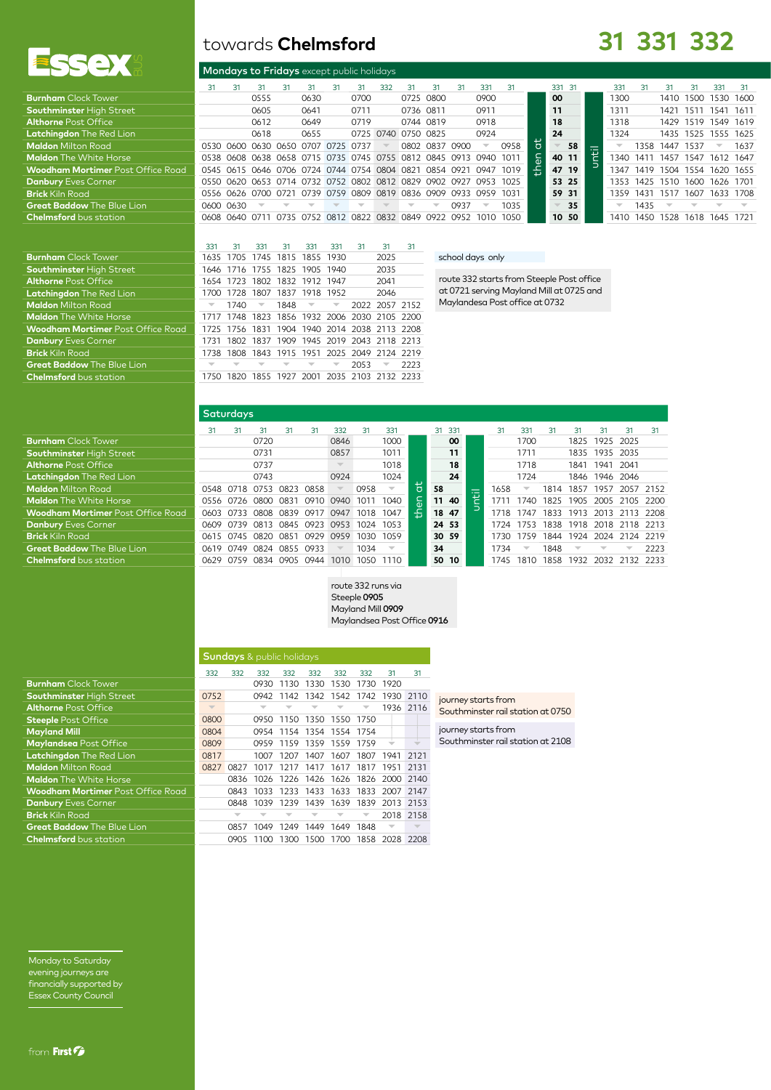

| towards Chelmsford |  |  |
|--------------------|--|--|
|--------------------|--|--|

# **31 331 332**

|                                          |    |                | Mondays to Fridays except public holidays                        |    |                                              |    |      |     |                     |                |      |                          |      |            |        |       |       |      |                     |      |                          |      |
|------------------------------------------|----|----------------|------------------------------------------------------------------|----|----------------------------------------------|----|------|-----|---------------------|----------------|------|--------------------------|------|------------|--------|-------|-------|------|---------------------|------|--------------------------|------|
|                                          | 31 | 31             | 31                                                               | 31 | 31                                           | 31 | 31   | 332 | 31                  | 31             | 31   | 331                      | 31   |            | 331 31 |       | 331   | 31   | 31                  | 31   | 331                      | -31  |
| <b>Burnham</b> Clock Tower               |    |                | 0555                                                             |    | 0630                                         |    | 0700 |     |                     | 0725 0800      |      | 0900                     |      |            | 00     |       | 1300  |      | 1410                | 1500 | 1530 1600                |      |
| <b>Southminster High Street</b>          |    |                | 0605                                                             |    | 0641                                         |    | 0711 |     | 0736 0811           |                |      | 0911                     |      |            | 11     |       | 1311  |      | 1421                | 1511 | 1541 1611                |      |
| <b>Althorne Post Office</b>              |    |                | 0612                                                             |    | 0649                                         |    | 0719 |     |                     | 0744 0819      |      | 0918                     |      |            | 18     |       | 1318  |      | 1429 1519 1549 1619 |      |                          |      |
| Latchingdon The Red Lion                 |    |                | 0618                                                             |    | 0655                                         |    |      |     | 0725 0740 0750 0825 |                |      | 0924                     |      |            | 24     |       | 1324  |      | 1435                |      | 1525 1555 1625           |      |
| <b>Maldon</b> Milton Road                |    |                | 0530 0600 0630 0650 0707 0725 0737                               |    |                                              |    |      |     |                     | 0802 0837 0900 |      | $\overline{\phantom{a}}$ | 0958 | ਨ          |        | 58    |       | 1358 | 1447                | 1537 | $\overline{\phantom{a}}$ | 1637 |
| <b>Maldon</b> The White Horse            |    |                | 0538 0608 0638 0658 0715 0735 0745 0755 0812 0845 0913 0940 1011 |    |                                              |    |      |     |                     |                |      |                          |      | $\epsilon$ |        | 40 11 | 1340  | 141' | 1457                | 1547 | 1612 1647                |      |
| <b>Woodham Mortimer</b> Post Office Road |    |                | 0545 0615 0646 0706 0724 0744 0754 0804 0821 0854 0921           |    |                                              |    |      |     |                     |                |      | 0947 1019                |      | Æ          |        | 47 19 | 1347  | 1419 | 1504                |      | 1554 1620 1655           |      |
| <b>Danbury Eves Corner</b>               |    |                | 0550 0620 0653 0714 0732 0752 0802 0812 0829 0902 0927 0953 1025 |    |                                              |    |      |     |                     |                |      |                          |      |            |        | 53 25 | 1353. | 1425 | 1510                | 1600 | 1626 1701                |      |
| <b>Brick Kiln Road</b>                   |    |                | 0556 0626 0700 0721                                              |    | 0739 0759 0809 0819 0836 0909 0933 0959 1031 |    |      |     |                     |                |      |                          |      |            |        | 59 31 | 1359  | 1431 | 1517                |      | 1607 1633 1708           |      |
| <b>Great Baddow</b> The Blue Lion        |    | 0600 0630      |                                                                  |    |                                              |    |      |     |                     |                | 0937 | $\overline{\phantom{a}}$ | 1035 |            |        | 35    |       | 1435 |                     |      |                          |      |
| <b>Chelmsford</b> bus station            |    | 0608 0640 0711 |                                                                  |    | 0735 0752 0812 0822 0832 0849 0922 0952      |    |      |     |                     |                |      | 1010                     | 1050 |            |        | 10 50 | 1410  | 1450 | 1528                | 1618 | 1645                     | 1721 |
|                                          |    |                |                                                                  |    |                                              |    |      |     |                     |                |      |                          |      |            |        |       |       |      |                     |      |                          |      |

|                                          | 331  | 31        | 331  | 31                            | 331                      | 331                     | 31   | 31                                      | 31    |
|------------------------------------------|------|-----------|------|-------------------------------|--------------------------|-------------------------|------|-----------------------------------------|-------|
| <b>Burnham</b> Clock Tower               | 1635 |           |      | 1705 1745 1815 1855 1930      |                          |                         |      | 2025                                    |       |
| <b>Southminster High Street</b>          |      |           |      | 1646 1716 1755 1825 1905 1940 |                          |                         |      | 2035                                    |       |
| <b>Althorne Post Office</b>              |      |           |      | 1654 1723 1802 1832 1912 1947 |                          |                         |      | 2041                                    |       |
| <b>Latchingdon</b> The Red Lion          | 1700 |           |      | 1728 1807 1837 1918 1952      |                          |                         |      | 2046                                    |       |
| <b>Maldon</b> Milton Road                |      | 1740      |      | 1848                          | $\overline{\phantom{a}}$ | $\overline{\mathbf{v}}$ |      | 2022 2057 2152                          |       |
| <b>Maldon</b> The White Horse            | 1717 |           |      |                               |                          |                         |      | 1748 1823 1856 1932 2006 2030 2105 2200 |       |
| <b>Woodham Mortimer Post Office Road</b> | 1725 | 1756 1831 |      |                               |                          |                         |      | 1904 1940 2014 2038 2113 2208           |       |
| <b>Danbury Eves Corner</b>               | 1731 | 1802      |      |                               |                          |                         |      | 1837 1909 1945 2019 2043 2118 2213      |       |
| <b>Brick Kiln Road</b>                   | 1738 |           |      |                               |                          |                         |      | 1808 1843 1915 1951 2025 2049 2124 2219 |       |
| <b>Great Baddow The Blue Lion</b>        |      |           |      |                               |                          |                         | 2053 | ▼                                       | 2223  |
| <b>Chelmsford</b> bus station            |      | 1820      | 1855 | 1927                          | 2001                     | 2035 2103               |      | -2132                                   | -2233 |
|                                          |      |           |      |                               |                          |                         |      |                                         |       |

## school days only

route 332 starts from Steeple Post office at 0721 serving Mayland Mill at 0725 and Maylandesa Post office at 0732

|                                          | Saturdays, |      |             |      |      |                          |      |                          |   |    |       |   |      |                          |      |                          |           |                          |        |
|------------------------------------------|------------|------|-------------|------|------|--------------------------|------|--------------------------|---|----|-------|---|------|--------------------------|------|--------------------------|-----------|--------------------------|--------|
|                                          | 31         | 31   | 31          | 31   | 31   | 332                      | 31   | 331                      |   | 31 | 331   |   | 31   | 331                      | 31   | 31                       | 31        | 31                       | 31     |
| <b>Burnham</b> Clock Tower               |            |      | 0720        |      |      | 0846                     |      | 1000                     |   |    | 00    |   |      | 1700                     |      | 1825                     | 1925 2025 |                          |        |
| <b>Southminster High Street</b>          |            |      | 0731        |      |      | 0857                     |      | 1011                     |   |    | 11    |   |      | 1711                     |      | 1835                     | 1935 2035 |                          |        |
| <b>Althorne Post Office</b>              |            |      | 0737        |      |      | $\overline{\mathbb{V}}$  |      | 1018                     |   |    | 18    |   |      | 1718                     |      | 1841                     | 1941      | - 2041                   |        |
| Latchingdon The Red Lion                 |            |      | 0743        |      |      | 0924                     |      | 1024                     |   |    | 24    |   |      | 1724                     |      | 1846                     | 1946 2046 |                          |        |
| <b>Maldon</b> Milton Road                | 0548       | 0718 | 0753        | 0823 | 0858 | $\overline{\phantom{a}}$ | 0958 | $\overline{\phantom{a}}$ |   | 58 |       |   | 1658 | $\overline{\phantom{a}}$ | 1814 | 1857                     | 1957      | 2057                     | 2152   |
| <b>Maldon</b> The White Horse            | 0556       | 0726 | 0800        | 0831 | 0910 | 0940                     | 1011 | 1040                     | ᇰ |    | 11 40 | 둽 |      | 1740                     | 1825 | 1905                     | 2005      | 2105                     | - 2200 |
| <b>Woodham Mortimer Post Office Road</b> | 0603       | 0733 | <b>CRO8</b> | 0839 | 0917 | 0947                     | 1018 | 1047                     | 盖 |    | 18 47 |   | 1718 | 1747                     | 1833 | 1913                     |           | 2013 2113 2208           |        |
| <b>Danbury Eves Corner</b>               | 0609       | 0739 | 0813        | 0845 | 0923 | 0953                     | 1024 | 1053                     |   |    | 24 53 |   | 1724 | 1753                     |      |                          |           | 1838 1918 2018 2118 2213 |        |
| <b>Brick</b> Kiln Road                   | 0615 0745  |      | 0820        | 0851 | 0929 | 0959                     | 1030 | 1059                     |   |    | 30 59 |   | 1730 | 1759                     | 1844 | 1924                     | 2024 2124 |                          | 2219   |
| <b>Great Baddow</b> The Blue Lion        | 0619       | 0749 | 0824        | 0855 | 0933 |                          | 1034 | $\overline{\phantom{a}}$ |   | 34 |       |   | 1734 | $\overline{\phantom{a}}$ | 1848 | $\overline{\phantom{a}}$ |           |                          | 2223   |
| <b>Chelmsford</b> bus station            | 0629       | 0759 | 0834        | 0905 | 0944 | 1010                     | 1050 | 1110                     |   |    | 50 10 |   | 1745 | 1810                     | 1858 |                          |           | 1932 2032 2132 2233      |        |
|                                          |            |      |             |      |      |                          |      |                          |   |    |       |   |      |                          |      |                          |           |                          |        |

#### route 332 runs via Steeple 0905 Mayland Mill 0909 Maylandsea Post Office 0916

|                                          | <b>Sundays</b> & public holidays |      |      |           |      |                          |      |                                    |      |  |  |  |  |
|------------------------------------------|----------------------------------|------|------|-----------|------|--------------------------|------|------------------------------------|------|--|--|--|--|
|                                          | 332                              | 332  | 332  | 332       | 332  | 332                      | 332  | 31                                 | 31   |  |  |  |  |
| <b>Burnham</b> Clock Tower               |                                  |      | 0930 | 1130      | 1330 | 1530                     | 1730 | 1920                               |      |  |  |  |  |
| <b>Southminster High Street</b>          | 0752                             |      |      | 0942 1142 | 1342 | 1542                     | 1742 | 1930                               | 2110 |  |  |  |  |
| <b>Althorne Post Office</b>              | $\overline{\phantom{a}}$         |      |      |           |      |                          |      | 1936 2116                          |      |  |  |  |  |
| <b>Steeple Post Office</b>               | 0800                             |      | 0950 | 1150      | 1350 | 1550                     | 1750 |                                    |      |  |  |  |  |
| <b>Mayland Mill</b>                      | 0804                             |      | 0954 | 1154      |      | 1354 1554                | 1754 |                                    |      |  |  |  |  |
| Maylandsea Post Office                   | 0809                             |      |      |           |      | 0959 1159 1359 1559 1759 |      |                                    |      |  |  |  |  |
| <b>Latchingdon</b> The Red Lion          | 0817                             |      | 1007 | 1207      | 1407 | 1607                     | 1807 | 1941                               | 2121 |  |  |  |  |
| <b>Maldon</b> Milton Road                | 0827                             | 0827 | 1017 | 1217      | 1417 | 1617                     | 1817 | 1951                               | 2131 |  |  |  |  |
| <b>Maldon</b> The White Horse            |                                  | 0836 |      |           |      |                          |      | 1026 1226 1426 1626 1826 2000 2140 |      |  |  |  |  |
| <b>Woodham Mortimer</b> Post Office Road |                                  | 0843 | 1033 | 1233      | 1433 | 1633                     | 1833 | 2007 2147                          |      |  |  |  |  |
| <b>Danbury Eves Corner</b>               |                                  | 0848 | 1039 | 1239      | 1439 | 1639                     | 1839 | 2013 2153                          |      |  |  |  |  |
| <b>Brick</b> Kiln Road                   |                                  |      |      |           |      |                          |      | 2018 2158                          |      |  |  |  |  |
| <b>Great Baddow</b> The Blue Lion        |                                  | 0857 | 1049 | 1249      | 1449 | 1649                     | 1848 |                                    |      |  |  |  |  |
| <b>Chelmsford</b> bus station            |                                  | 0905 | 1100 | 1300      |      | 1500 1700                |      | 1858 2028 2208                     |      |  |  |  |  |

journey starts from Southminster rail station at 0750

journey starts from Southminster rail station at 2108

Monday to Saturday evening journeys are financially supported by Essex County Council